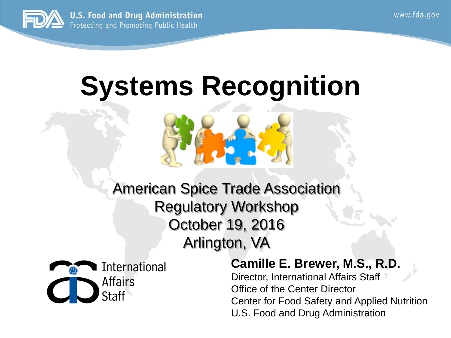

#### **Systems Recognition**





#### **Camille E. Brewer, M.S., R.D.**

Director, International Affairs Staff Office of the Center Director Center for Food Safety and Applied Nutrition U.S. Food and Drug Administration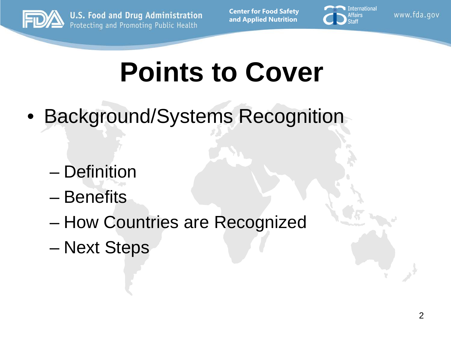

**Center for Food Safety and Applied Nutrition**



www.fda.gov

#### **Points to Cover**

- Background/Systems Recognition
	- Definition
	- Benefits
	- How Countries are Recognized
	- Next Steps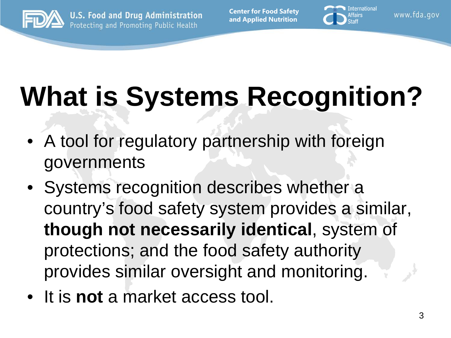

**Center for Food Safety and Applied Nutrition**



www.fda.gov

# **What is Systems Recognition?**

- A tool for regulatory partnership with foreign governments
- Systems recognition describes whether a country's food safety system provides a similar, **though not necessarily identical**, system of protections; and the food safety authority provides similar oversight and monitoring.
- It is **not** a market access tool.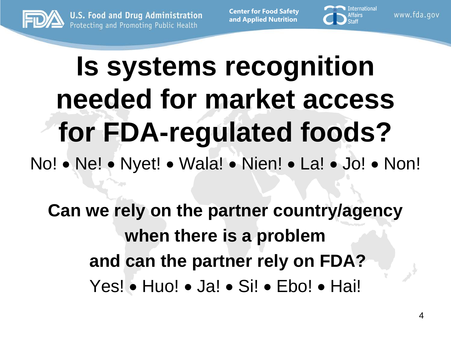

**Center for Food Safety and Applied Nutrition**



www.fda.gov

### **Is systems recognition needed for market access for FDA-regulated foods?** No! • Ne! • Nyet! • Wala! • Nien! • La! • Jo! • Non!

**Can we rely on the partner country/agency when there is a problem and can the partner rely on FDA?** Yes! • Huo! • Ja! • Si! • Ebo! • Hai!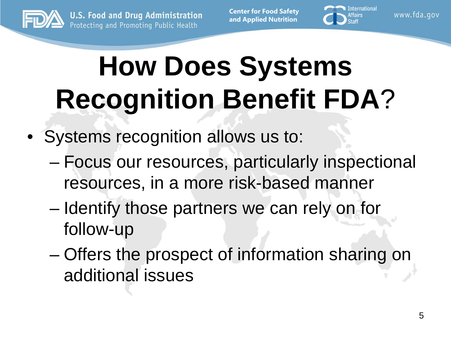

**Center for Food Safety and Applied Nutrition**



www.fda.gov

# **How Does Systems Recognition Benefit FDA**?

- Systems recognition allows us to:
	- Focus our resources, particularly inspectional resources, in a more risk-based manner
	- Identify those partners we can rely on for follow-up
	- Offers the prospect of information sharing on additional issues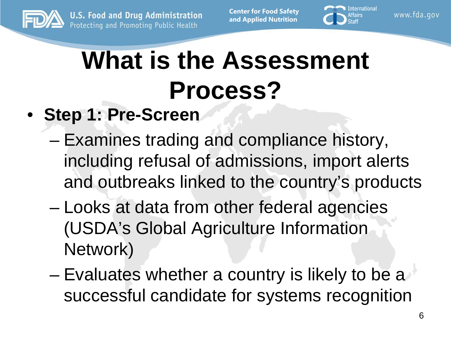

**Center for Food Safety and Applied Nutrition**



www.fda.gov

#### **What is the Assessment Process?**

- **Step 1: Pre-Screen**
	- Examines trading and compliance history, including refusal of admissions, import alerts and outbreaks linked to the country's products
	- Looks at data from other federal agencies (USDA's Global Agriculture Information Network)
	- Evaluates whether a country is likely to be a successful candidate for systems recognition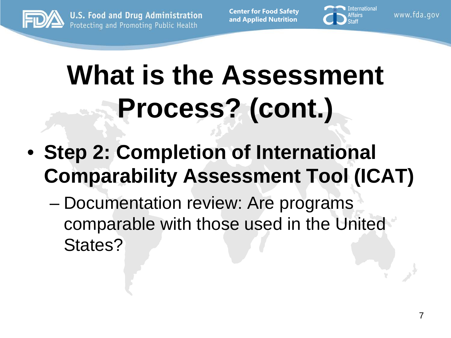

**Center for Food Safety and Applied Nutrition**



www.fda.gov

### **What is the Assessment Process? (cont.)**

- **Step 2: Completion of International Comparability Assessment Tool (ICAT)**
	- Documentation review: Are programs comparable with those used in the United States?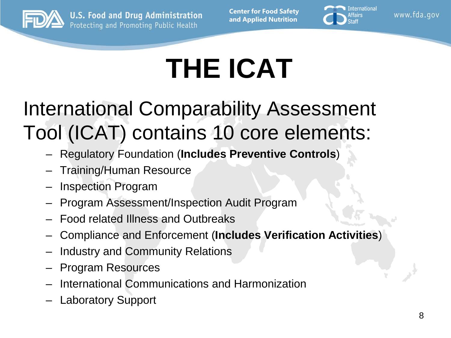

**Center for Food Safety and Applied Nutrition**



www.fda.gov

# **THE ICAT**

International Comparability Assessment Tool (ICAT) contains 10 core elements:

- Regulatory Foundation (**Includes Preventive Controls**)
- Training/Human Resource
- Inspection Program
- Program Assessment/Inspection Audit Program
- Food related Illness and Outbreaks
- Compliance and Enforcement (**Includes Verification Activities**)
- Industry and Community Relations
- Program Resources
- International Communications and Harmonization
- Laboratory Support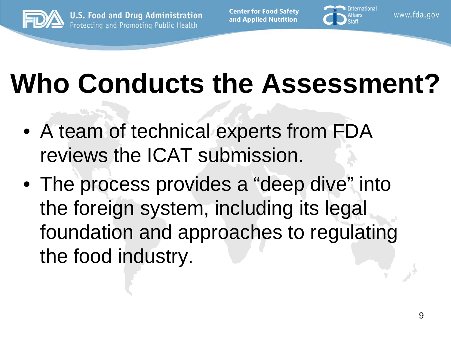

**Center for Food Safety and Applied Nutrition**



www.fda.gov

#### **Who Conducts the Assessment?**

- A team of technical experts from FDA reviews the ICAT submission.
- The process provides a "deep dive" into the foreign system, including its legal foundation and approaches to regulating the food industry.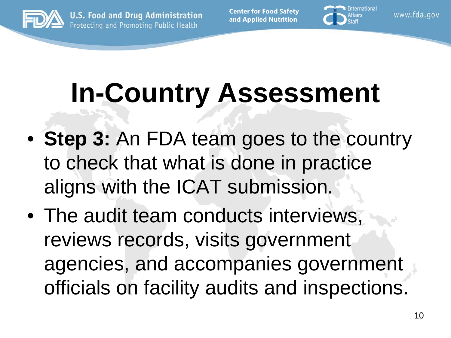

**Center for Food Safety and Applied Nutrition**



www.fda.gov

# **In-Country Assessment**

- **Step 3:** An FDA team goes to the country to check that what is done in practice aligns with the ICAT submission.
- The audit team conducts interviews, reviews records, visits government agencies, and accompanies government officials on facility audits and inspections.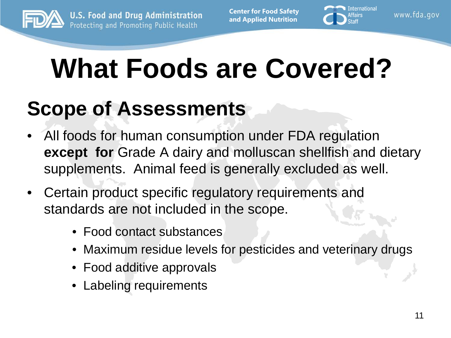



www.fda.gov

#### **What Foods are Covered?**

#### **Scope of Assessments**

- All foods for human consumption under FDA regulation **except for** Grade A dairy and molluscan shellfish and dietary supplements. Animal feed is generally excluded as well.
- Certain product specific regulatory requirements and standards are not included in the scope.
	- Food contact substances
	- Maximum residue levels for pesticides and veterinary drugs
	- Food additive approvals
	- Labeling requirements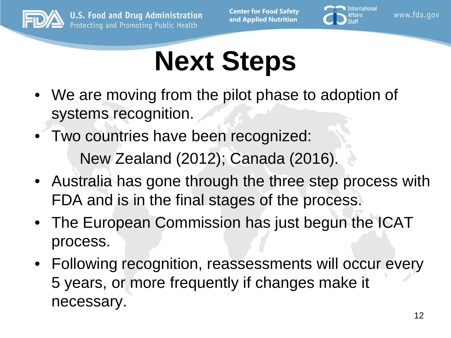



www.fda.gov

#### **Next Steps**

- We are moving from the pilot phase to adoption of systems recognition.
- Two countries have been recognized: New Zealand (2012); Canada (2016).
- Australia has gone through the three step process with FDA and is in the final stages of the process.
- The European Commission has just begun the ICAT process.
- Following recognition, reassessments will occur every 5 years, or more frequently if changes make it necessary.